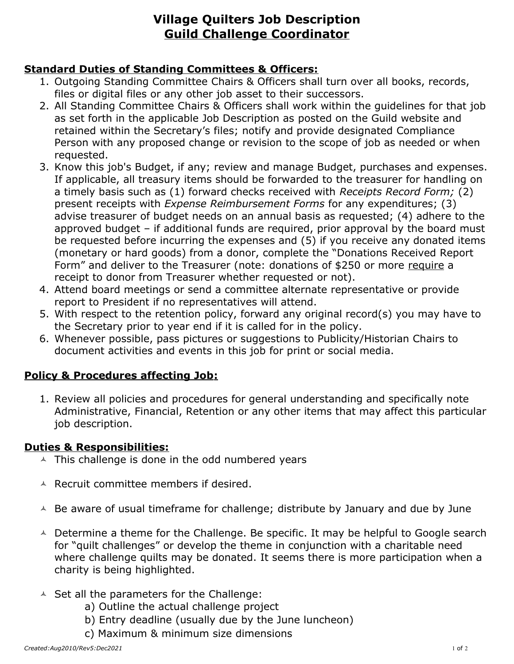# **Village Quilters Job Description Guild Challenge Coordinator**

### **Standard Duties of Standing Committees & Officers:**

- 1. Outgoing Standing Committee Chairs & Officers shall turn over all books, records, files or digital files or any other job asset to their successors.
- 2. All Standing Committee Chairs & Officers shall work within the guidelines for that job as set forth in the applicable Job Description as posted on the Guild website and retained within the Secretary's files; notify and provide designated Compliance Person with any proposed change or revision to the scope of job as needed or when requested.
- 3. Know this job's Budget, if any; review and manage Budget, purchases and expenses. If applicable, all treasury items should be forwarded to the treasurer for handling on a timely basis such as (1) forward checks received with *Receipts Record Form;* (2) present receipts with *Expense Reimbursement Forms* for any expenditures; (3) advise treasurer of budget needs on an annual basis as requested; (4) adhere to the approved budget – if additional funds are required, prior approval by the board must be requested before incurring the expenses and (5) if you receive any donated items (monetary or hard goods) from a donor, complete the "Donations Received Report Form" and deliver to the Treasurer (note: donations of \$250 or more require a receipt to donor from Treasurer whether requested or not).
- 4. Attend board meetings or send a committee alternate representative or provide report to President if no representatives will attend.
- 5. With respect to the retention policy, forward any original record(s) you may have to the Secretary prior to year end if it is called for in the policy.
- 6. Whenever possible, pass pictures or suggestions to Publicity/Historian Chairs to document activities and events in this job for print or social media.

## **Policy & Procedures affecting Job:**

1. Review all policies and procedures for general understanding and specifically note Administrative, Financial, Retention or any other items that may affect this particular job description.

#### **Duties & Responsibilities:**

- $\triangle$  This challenge is done in the odd numbered years
- $\triangle$  Recruit committee members if desired.
- $\triangle$  Be aware of usual timeframe for challenge; distribute by January and due by June
- $\triangle$  Determine a theme for the Challenge. Be specific. It may be helpful to Google search for "quilt challenges" or develop the theme in conjunction with a charitable need where challenge quilts may be donated. It seems there is more participation when a charity is being highlighted.
- $\triangle$  Set all the parameters for the Challenge:
	- a) Outline the actual challenge project
	- b) Entry deadline (usually due by the June luncheon)
	- c) Maximum & minimum size dimensions